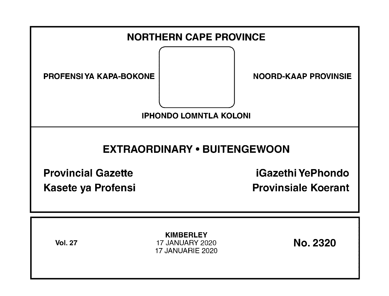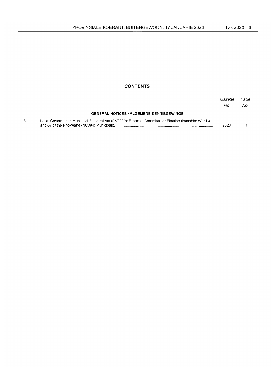## **CONTENTS**

|                                                                                                        | Gazette<br>No. | Page<br>No. |
|--------------------------------------------------------------------------------------------------------|----------------|-------------|
| <b>GENERAL NOTICES • ALGEMENE KENNISGEWINGS</b>                                                        |                |             |
| Local Government: Municipal Electoral Act (27/2000): Electoral Commission: Election timetable: Ward 01 | 2320           |             |

 $\overline{3}$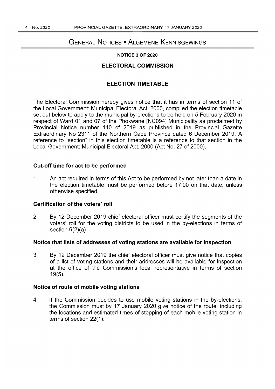# GENERAL NOTICES • ALGEMENE KENNISGEWINGS

#### **NOTICE 3 OF 2020**

## **ELECTORAL COMMISSION**

## **ELECTION TIMETABLE**

The Electoral Commission hereby gives notice that it has in terms of section 11 of the Local Government: Municipal Electoral Act, 2000, compiled the election timetable set out below to apply to the municipal by-elections to be held on 5 February 2020 in respect of Ward 01 and 07 of the Phokwane [NC094] Municipality as proclaimed by Provincial Notice number 140 of 2019 as published in the Provincial Gazette Extraordinary No 2311 of the Northern Cape Province dated 6 December 2019. A reference to "section" in this election timetable is a reference to that section in the Local Government: Municipal Electoral Act, 2000 (Act No. 27 of 2000).

## **Cut-off time for act to be performed**

1 An act required in terms of this Act to be performed by not later than a date in the election timetable must be performed before 17:00 on that date, unless otherwise specified.

#### **Certification of the voters' roll**

2 By 12 December 2019 chief electoral officer must certify the segments of the voters' roll for the voting districts to be used in the by-elections in terms of section 6(2)(a).

#### **Notice that lists of addresses of voting stations are available for inspection**

3 By 12 December 2019 the chief electoral officer must give notice that copies of a list of voting stations and their addresses will be available for inspection at the office of the Commission's local representative in terms of section 19(5).

## **Notice of route of mobile voting stations**

4 If the Commission decides to use mobile voting stations in the by-elections, the Commission must by 17 January 2020 give notice of the route, including the locations and estimated times of stopping of each mobile voting station in terms of section 22(1).